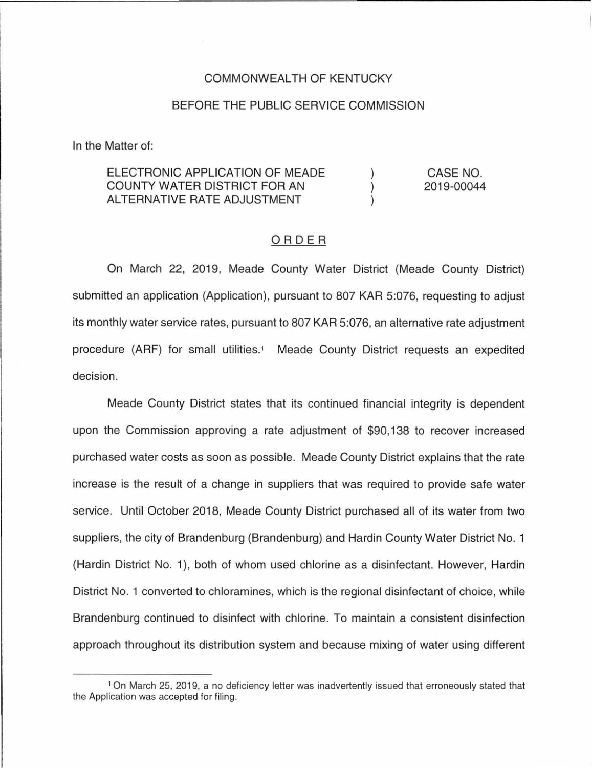## COMMONWEALTH OF KENTUCKY

## BEFORE THE PUBLIC SERVICE COMMISSION

In the Matter of:

## ELECTRONIC APPLICATION OF MEADE CASE NO. COUNTY WATER DISTRICT FOR AN  $\lambda$ 2019-00044 ALTERNATIVE RATE ADJUSTMENT  $\lambda$

## ORDER

On March 22, 2019, Meade County Water District (Meade County District) submitted an application (Application), pursuant to 807 KAR 5:076, requesting to adjust its monthly water service rates, pursuant to 807 KAR 5:076, an alternative rate adjustment procedure (ARF) for small utilities.<sup>1</sup> Meade County District requests an expedited decision.

Meade County District states that its continued financial integrity is dependent upon the Commission approving a rate adjustment of \$90, 138 to recover increased purchased water costs as soon as possible. Meade County District explains that the rate increase is the result of a change in suppliers that was required to provide safe water service. Until October 2018, Meade County District purchased all of its water from two suppliers, the city of Brandenburg (Brandenburg) and Hardin County Water District No. 1 (Hardin District No. 1), both of whom used chlorine as a disinfectant. However, Hardin District No. 1 converted to chloramines, which is the regional disinfectant of choice, while Brandenburg continued to disinfect with chlorine. To maintain a consistent disinfection approach throughout its distribution system and because mixing of water using different

<sup>1</sup>On March 25, 2019, a no deficiency letter was inadvertently issued that erroneously stated that the Application was accepted for filing.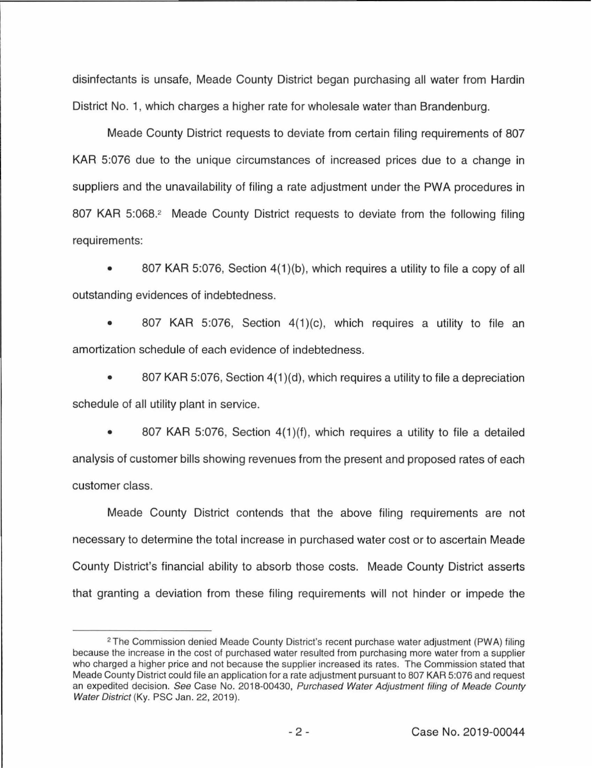disinfectants is unsafe, Meade County District began purchasing all water from Hardin District No. 1, which charges a higher rate for wholesale water than Brandenburg.

Meade County District requests to deviate from certain filing requirements of 807 KAR 5:076 due to the unique circumstances of increased prices due to a change in suppliers and the unavailability of filing a rate adjustment under the PWA procedures in 807 KAR 5:068.<sup>2</sup> Meade County District requests to deviate from the following filing requirements:

• 807 KAR 5:076, Section 4(1 )(b), which requires a utility to file a copy of all outstanding evidences of indebtedness.

807 KAR 5:076, Section 4(1)(c), which requires a utility to file an amortization schedule of each evidence of indebtedness.

• 807 KAR 5:076, Section 4(1)(d), which requires a utility to file a depreciation schedule of all utility plant in service.

807 KAR 5:076, Section 4(1)(f), which requires a utility to file a detailed analysis of customer bills showing revenues from the present and proposed rates of each customer class.

Meade County District contends that the above filing requirements are not necessary to determine the total increase in purchased water cost or to ascertain Meade County District's financial ability to absorb those costs. Meade County District asserts that granting a deviation from these filing requirements will not hinder or impede the

<sup>&</sup>lt;sup>2</sup> The Commission denied Meade County District's recent purchase water adjustment (PWA) filing because the increase in the cost of purchased water resulted from purchasing more water from a supplier who charged a higher price and not because the supplier increased its rates. The Commission stated that Meade County District could file an application for a rate adjustment pursuant to 807 KAR 5:076 and request an expedited decision. See Case No. 2018-00430, Purchased Water Adjustment filing of Meade County Water District (Ky. PSC Jan. 22, 2019).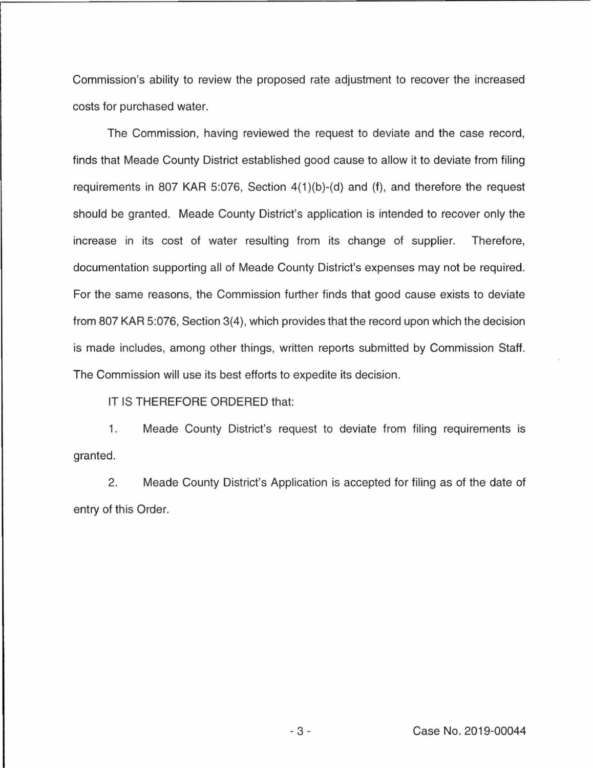Commission's ability to review the proposed rate adjustment to recover the increased costs for purchased water.

The Commission, having reviewed the request to deviate and the case record, finds that Meade County District established good cause to allow it to deviate from filing requirements in 807 KAR 5:076, Section  $4(1)(b)-(d)$  and  $(f)$ , and therefore the request should be granted. Meade County District's application is intended to recover only the increase in its cost of water resulting from its change of supplier. Therefore, documentation supporting all of Meade County District's expenses may not be required. For the same reasons, the Commission further finds that good cause exists to deviate from 807 KAR 5:076, Section 3(4), which provides that the record upon which the decision is made includes, among other things, written reports submitted by Commission Staff. The Commission will use its best efforts to expedite its decision.

IT IS THEREFORE ORDERED that:

1. Meade County District's request to deviate from filing requirements is granted.

2. Meade County District's Application is accepted for filing as of the date of entry of this Order.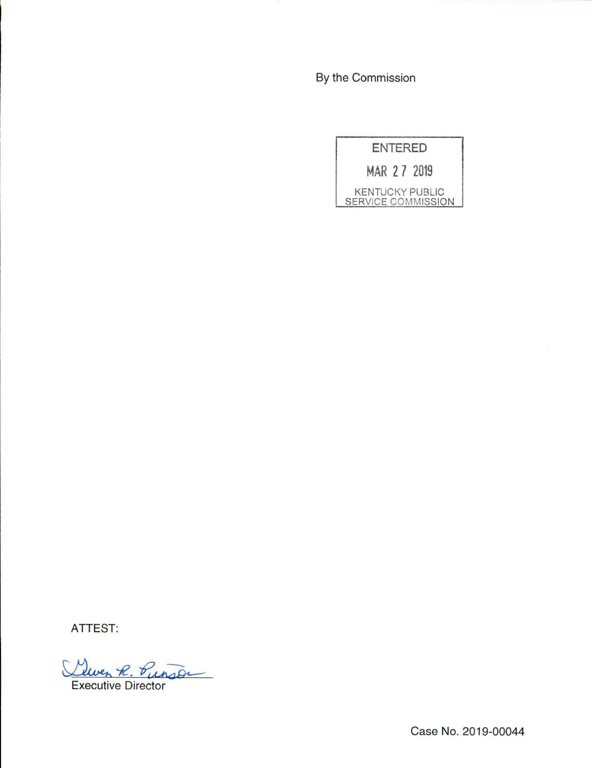By the Commission

ENTERED **MAR 2 7 2019**  KENTUCKY PUBLIC

SERVICE COMMISSION

ATTEST:

Lewen R. Punson

Case No. 2019-00044